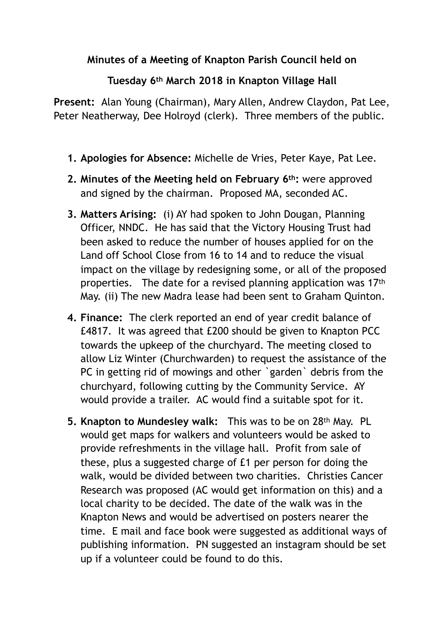## **Minutes of a Meeting of Knapton Parish Council held on**

## **Tuesday 6th March 2018 in Knapton Village Hall**

**Present:** Alan Young (Chairman), Mary Allen, Andrew Claydon, Pat Lee, Peter Neatherway, Dee Holroyd (clerk). Three members of the public.

- **1. Apologies for Absence:** Michelle de Vries, Peter Kaye, Pat Lee.
- **2. Minutes of the Meeting held on February 6th:** were approved and signed by the chairman. Proposed MA, seconded AC.
- **3. Matters Arising:** (i) AY had spoken to John Dougan, Planning Officer, NNDC. He has said that the Victory Housing Trust had been asked to reduce the number of houses applied for on the Land off School Close from 16 to 14 and to reduce the visual impact on the village by redesigning some, or all of the proposed properties. The date for a revised planning application was 17th May. (ii) The new Madra lease had been sent to Graham Quinton.
- **4. Finance:** The clerk reported an end of year credit balance of £4817. It was agreed that £200 should be given to Knapton PCC towards the upkeep of the churchyard. The meeting closed to allow Liz Winter (Churchwarden) to request the assistance of the PC in getting rid of mowings and other `garden` debris from the churchyard, following cutting by the Community Service. AY would provide a trailer. AC would find a suitable spot for it.
- **5. Knapton to Mundesley walk:** This was to be on 28th May. PL would get maps for walkers and volunteers would be asked to provide refreshments in the village hall. Profit from sale of these, plus a suggested charge of £1 per person for doing the walk, would be divided between two charities. Christies Cancer Research was proposed (AC would get information on this) and a local charity to be decided. The date of the walk was in the Knapton News and would be advertised on posters nearer the time. E mail and face book were suggested as additional ways of publishing information. PN suggested an instagram should be set up if a volunteer could be found to do this.